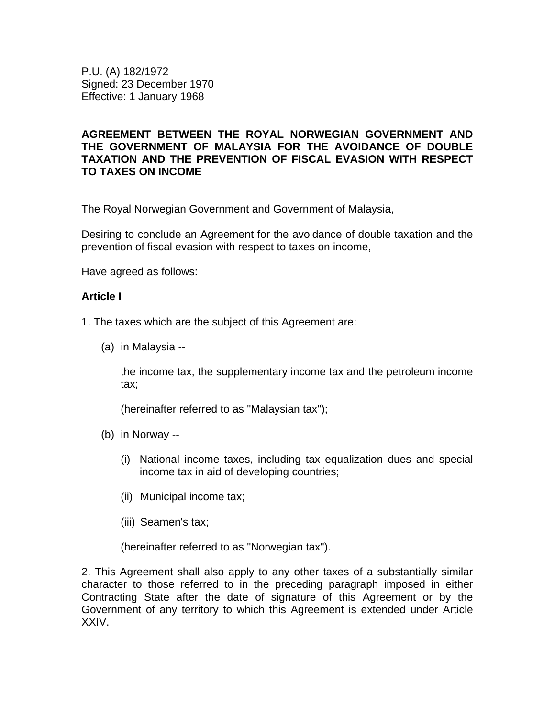P.U. (A) 182/1972 Signed: 23 December 1970 Effective: 1 January 1968

### **AGREEMENT BETWEEN THE ROYAL NORWEGIAN GOVERNMENT AND THE GOVERNMENT OF MALAYSIA FOR THE AVOIDANCE OF DOUBLE TAXATION AND THE PREVENTION OF FISCAL EVASION WITH RESPECT TO TAXES ON INCOME**

The Royal Norwegian Government and Government of Malaysia,

Desiring to conclude an Agreement for the avoidance of double taxation and the prevention of fiscal evasion with respect to taxes on income,

Have agreed as follows:

#### **Article I**

1. The taxes which are the subject of this Agreement are:

(a) in Malaysia --

the income tax, the supplementary income tax and the petroleum income tax;

(hereinafter referred to as "Malaysian tax");

- (b) in Norway --
	- (i) National income taxes, including tax equalization dues and special income tax in aid of developing countries;
	- (ii) Municipal income tax;
	- (iii) Seamen's tax;

(hereinafter referred to as "Norwegian tax").

2. This Agreement shall also apply to any other taxes of a substantially similar character to those referred to in the preceding paragraph imposed in either Contracting State after the date of signature of this Agreement or by the Government of any territory to which this Agreement is extended under Article XXIV.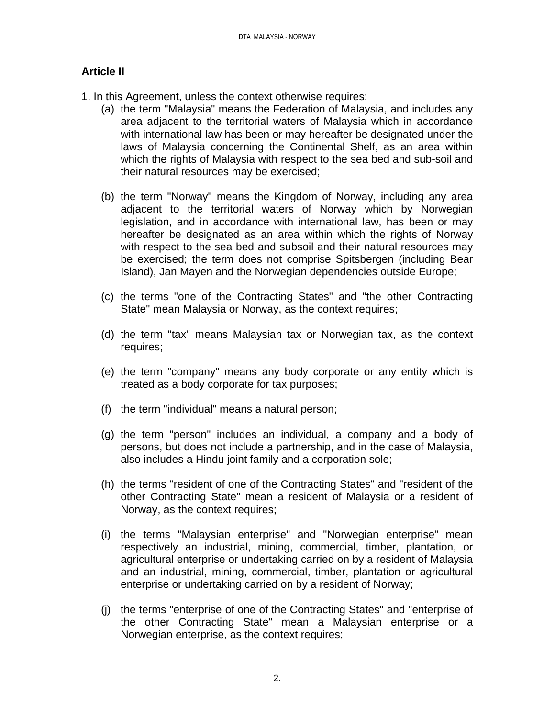# **Article II**

- 1. In this Agreement, unless the context otherwise requires:
	- (a) the term "Malaysia" means the Federation of Malaysia, and includes any area adjacent to the territorial waters of Malaysia which in accordance with international law has been or may hereafter be designated under the laws of Malaysia concerning the Continental Shelf, as an area within which the rights of Malaysia with respect to the sea bed and sub-soil and their natural resources may be exercised;
	- (b) the term "Norway" means the Kingdom of Norway, including any area adjacent to the territorial waters of Norway which by Norwegian legislation, and in accordance with international law, has been or may hereafter be designated as an area within which the rights of Norway with respect to the sea bed and subsoil and their natural resources may be exercised; the term does not comprise Spitsbergen (including Bear Island), Jan Mayen and the Norwegian dependencies outside Europe;
	- (c) the terms "one of the Contracting States" and "the other Contracting State" mean Malaysia or Norway, as the context requires;
	- (d) the term "tax" means Malaysian tax or Norwegian tax, as the context requires;
	- (e) the term "company" means any body corporate or any entity which is treated as a body corporate for tax purposes;
	- (f) the term "individual" means a natural person;
	- (g) the term "person" includes an individual, a company and a body of persons, but does not include a partnership, and in the case of Malaysia, also includes a Hindu joint family and a corporation sole;
	- (h) the terms "resident of one of the Contracting States" and "resident of the other Contracting State" mean a resident of Malaysia or a resident of Norway, as the context requires;
	- (i) the terms "Malaysian enterprise" and "Norwegian enterprise" mean respectively an industrial, mining, commercial, timber, plantation, or agricultural enterprise or undertaking carried on by a resident of Malaysia and an industrial, mining, commercial, timber, plantation or agricultural enterprise or undertaking carried on by a resident of Norway;
	- (j) the terms "enterprise of one of the Contracting States" and "enterprise of the other Contracting State" mean a Malaysian enterprise or a Norwegian enterprise, as the context requires;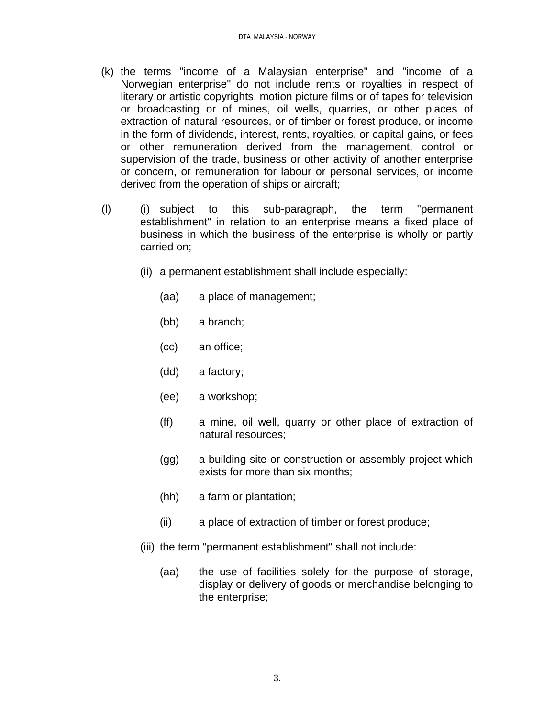- (k) the terms "income of a Malaysian enterprise" and "income of a Norwegian enterprise" do not include rents or royalties in respect of literary or artistic copyrights, motion picture films or of tapes for television or broadcasting or of mines, oil wells, quarries, or other places of extraction of natural resources, or of timber or forest produce, or income in the form of dividends, interest, rents, royalties, or capital gains, or fees or other remuneration derived from the management, control or supervision of the trade, business or other activity of another enterprise or concern, or remuneration for labour or personal services, or income derived from the operation of ships or aircraft;
- (l) (i) subject to this sub-paragraph, the term "permanent establishment" in relation to an enterprise means a fixed place of business in which the business of the enterprise is wholly or partly carried on;
	- (ii) a permanent establishment shall include especially:
		- (aa) a place of management;
		- (bb) a branch;
		- (cc) an office;
		- (dd) a factory;
		- (ee) a workshop;
		- (ff) a mine, oil well, quarry or other place of extraction of natural resources;
		- (gg) a building site or construction or assembly project which exists for more than six months;
		- (hh) a farm or plantation;
		- (ii) a place of extraction of timber or forest produce;
	- (iii) the term "permanent establishment" shall not include:
		- (aa) the use of facilities solely for the purpose of storage, display or delivery of goods or merchandise belonging to the enterprise;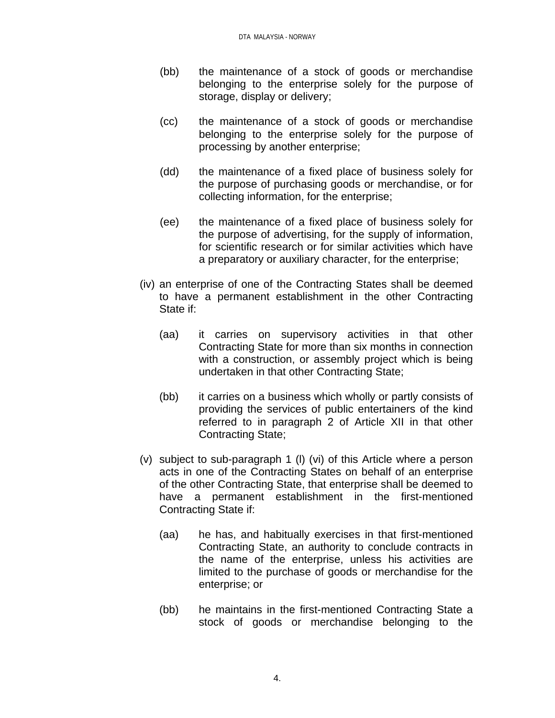- (bb) the maintenance of a stock of goods or merchandise belonging to the enterprise solely for the purpose of storage, display or delivery;
- (cc) the maintenance of a stock of goods or merchandise belonging to the enterprise solely for the purpose of processing by another enterprise;
- (dd) the maintenance of a fixed place of business solely for the purpose of purchasing goods or merchandise, or for collecting information, for the enterprise;
- (ee) the maintenance of a fixed place of business solely for the purpose of advertising, for the supply of information, for scientific research or for similar activities which have a preparatory or auxiliary character, for the enterprise;
- (iv) an enterprise of one of the Contracting States shall be deemed to have a permanent establishment in the other Contracting State if:
	- (aa) it carries on supervisory activities in that other Contracting State for more than six months in connection with a construction, or assembly project which is being undertaken in that other Contracting State;
	- (bb) it carries on a business which wholly or partly consists of providing the services of public entertainers of the kind referred to in paragraph 2 of Article XII in that other Contracting State;
- (v) subject to sub-paragraph 1 (l) (vi) of this Article where a person acts in one of the Contracting States on behalf of an enterprise of the other Contracting State, that enterprise shall be deemed to have a permanent establishment in the first-mentioned Contracting State if:
	- (aa) he has, and habitually exercises in that first-mentioned Contracting State, an authority to conclude contracts in the name of the enterprise, unless his activities are limited to the purchase of goods or merchandise for the enterprise; or
	- (bb) he maintains in the first-mentioned Contracting State a stock of goods or merchandise belonging to the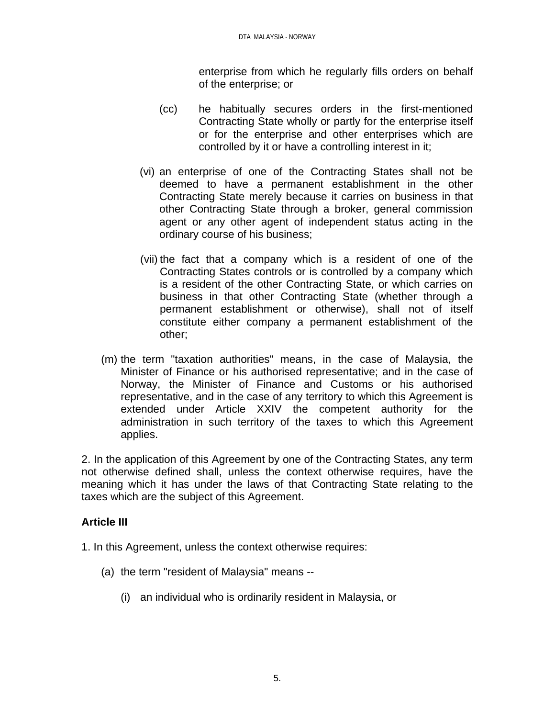enterprise from which he regularly fills orders on behalf of the enterprise; or

- (cc) he habitually secures orders in the first-mentioned Contracting State wholly or partly for the enterprise itself or for the enterprise and other enterprises which are controlled by it or have a controlling interest in it;
- (vi) an enterprise of one of the Contracting States shall not be deemed to have a permanent establishment in the other Contracting State merely because it carries on business in that other Contracting State through a broker, general commission agent or any other agent of independent status acting in the ordinary course of his business;
- (vii) the fact that a company which is a resident of one of the Contracting States controls or is controlled by a company which is a resident of the other Contracting State, or which carries on business in that other Contracting State (whether through a permanent establishment or otherwise), shall not of itself constitute either company a permanent establishment of the other;
- (m) the term "taxation authorities" means, in the case of Malaysia, the Minister of Finance or his authorised representative; and in the case of Norway, the Minister of Finance and Customs or his authorised representative, and in the case of any territory to which this Agreement is extended under Article XXIV the competent authority for the administration in such territory of the taxes to which this Agreement applies.

2. In the application of this Agreement by one of the Contracting States, any term not otherwise defined shall, unless the context otherwise requires, have the meaning which it has under the laws of that Contracting State relating to the taxes which are the subject of this Agreement.

## **Article III**

- 1. In this Agreement, unless the context otherwise requires:
	- (a) the term "resident of Malaysia" means --
		- (i) an individual who is ordinarily resident in Malaysia, or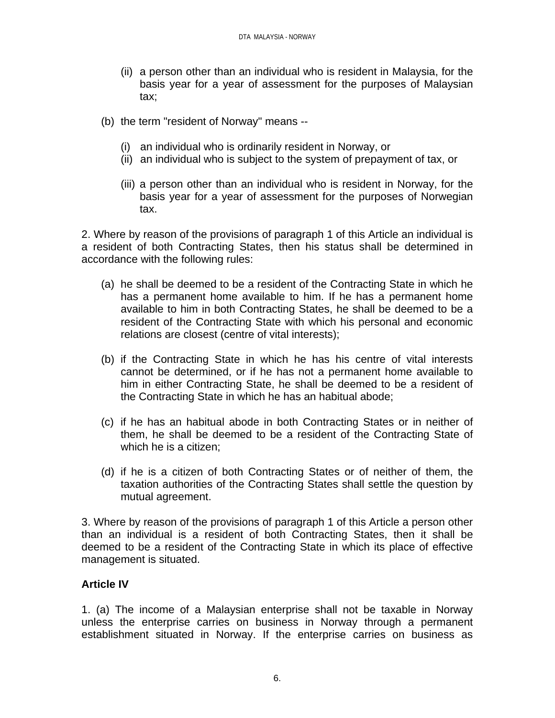- (ii) a person other than an individual who is resident in Malaysia, for the basis year for a year of assessment for the purposes of Malaysian tax;
- (b) the term "resident of Norway" means --
	- (i) an individual who is ordinarily resident in Norway, or
	- (ii) an individual who is subject to the system of prepayment of tax, or
	- (iii) a person other than an individual who is resident in Norway, for the basis year for a year of assessment for the purposes of Norwegian tax.

2. Where by reason of the provisions of paragraph 1 of this Article an individual is a resident of both Contracting States, then his status shall be determined in accordance with the following rules:

- (a) he shall be deemed to be a resident of the Contracting State in which he has a permanent home available to him. If he has a permanent home available to him in both Contracting States, he shall be deemed to be a resident of the Contracting State with which his personal and economic relations are closest (centre of vital interests);
- (b) if the Contracting State in which he has his centre of vital interests cannot be determined, or if he has not a permanent home available to him in either Contracting State, he shall be deemed to be a resident of the Contracting State in which he has an habitual abode;
- (c) if he has an habitual abode in both Contracting States or in neither of them, he shall be deemed to be a resident of the Contracting State of which he is a citizen;
- (d) if he is a citizen of both Contracting States or of neither of them, the taxation authorities of the Contracting States shall settle the question by mutual agreement.

3. Where by reason of the provisions of paragraph 1 of this Article a person other than an individual is a resident of both Contracting States, then it shall be deemed to be a resident of the Contracting State in which its place of effective management is situated.

## **Article IV**

1. (a) The income of a Malaysian enterprise shall not be taxable in Norway unless the enterprise carries on business in Norway through a permanent establishment situated in Norway. If the enterprise carries on business as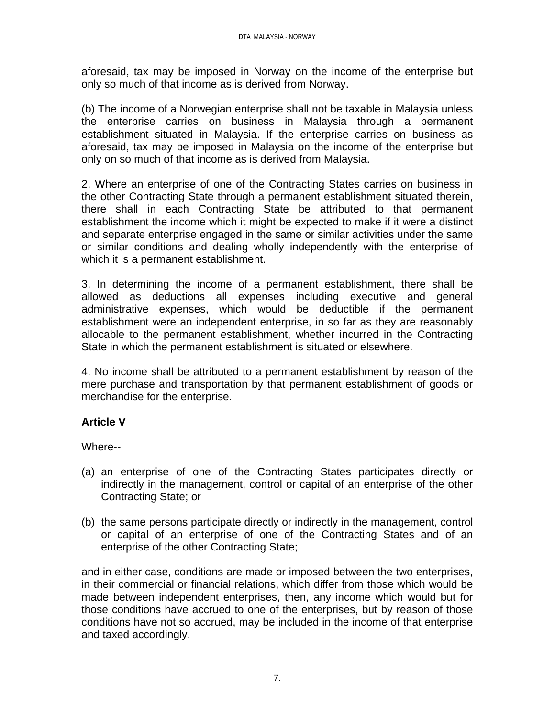aforesaid, tax may be imposed in Norway on the income of the enterprise but only so much of that income as is derived from Norway.

(b) The income of a Norwegian enterprise shall not be taxable in Malaysia unless the enterprise carries on business in Malaysia through a permanent establishment situated in Malaysia. If the enterprise carries on business as aforesaid, tax may be imposed in Malaysia on the income of the enterprise but only on so much of that income as is derived from Malaysia.

2. Where an enterprise of one of the Contracting States carries on business in the other Contracting State through a permanent establishment situated therein, there shall in each Contracting State be attributed to that permanent establishment the income which it might be expected to make if it were a distinct and separate enterprise engaged in the same or similar activities under the same or similar conditions and dealing wholly independently with the enterprise of which it is a permanent establishment.

3. In determining the income of a permanent establishment, there shall be allowed as deductions all expenses including executive and general administrative expenses, which would be deductible if the permanent establishment were an independent enterprise, in so far as they are reasonably allocable to the permanent establishment, whether incurred in the Contracting State in which the permanent establishment is situated or elsewhere.

4. No income shall be attributed to a permanent establishment by reason of the mere purchase and transportation by that permanent establishment of goods or merchandise for the enterprise.

## **Article V**

Where--

- (a) an enterprise of one of the Contracting States participates directly or indirectly in the management, control or capital of an enterprise of the other Contracting State; or
- (b) the same persons participate directly or indirectly in the management, control or capital of an enterprise of one of the Contracting States and of an enterprise of the other Contracting State;

and in either case, conditions are made or imposed between the two enterprises, in their commercial or financial relations, which differ from those which would be made between independent enterprises, then, any income which would but for those conditions have accrued to one of the enterprises, but by reason of those conditions have not so accrued, may be included in the income of that enterprise and taxed accordingly.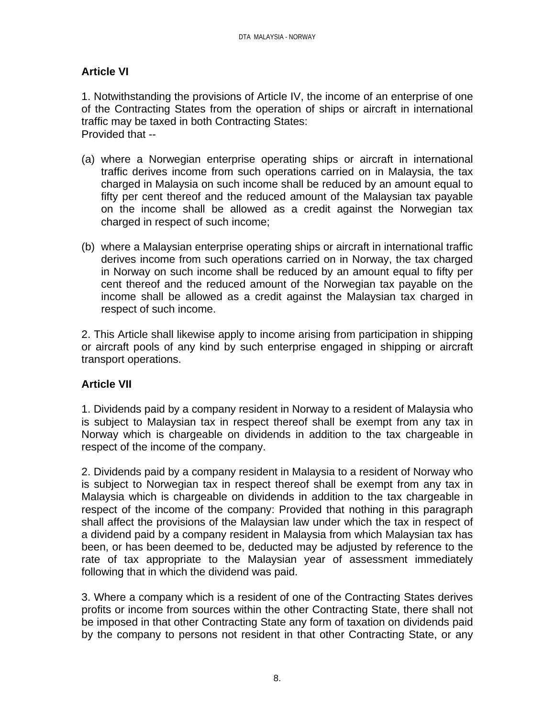# **Article VI**

1. Notwithstanding the provisions of Article IV, the income of an enterprise of one of the Contracting States from the operation of ships or aircraft in international traffic may be taxed in both Contracting States: Provided that --

- (a) where a Norwegian enterprise operating ships or aircraft in international traffic derives income from such operations carried on in Malaysia, the tax charged in Malaysia on such income shall be reduced by an amount equal to fifty per cent thereof and the reduced amount of the Malaysian tax payable on the income shall be allowed as a credit against the Norwegian tax charged in respect of such income;
- (b) where a Malaysian enterprise operating ships or aircraft in international traffic derives income from such operations carried on in Norway, the tax charged in Norway on such income shall be reduced by an amount equal to fifty per cent thereof and the reduced amount of the Norwegian tax payable on the income shall be allowed as a credit against the Malaysian tax charged in respect of such income.

2. This Article shall likewise apply to income arising from participation in shipping or aircraft pools of any kind by such enterprise engaged in shipping or aircraft transport operations.

## **Article VII**

1. Dividends paid by a company resident in Norway to a resident of Malaysia who is subject to Malaysian tax in respect thereof shall be exempt from any tax in Norway which is chargeable on dividends in addition to the tax chargeable in respect of the income of the company.

2. Dividends paid by a company resident in Malaysia to a resident of Norway who is subject to Norwegian tax in respect thereof shall be exempt from any tax in Malaysia which is chargeable on dividends in addition to the tax chargeable in respect of the income of the company: Provided that nothing in this paragraph shall affect the provisions of the Malaysian law under which the tax in respect of a dividend paid by a company resident in Malaysia from which Malaysian tax has been, or has been deemed to be, deducted may be adjusted by reference to the rate of tax appropriate to the Malaysian year of assessment immediately following that in which the dividend was paid.

3. Where a company which is a resident of one of the Contracting States derives profits or income from sources within the other Contracting State, there shall not be imposed in that other Contracting State any form of taxation on dividends paid by the company to persons not resident in that other Contracting State, or any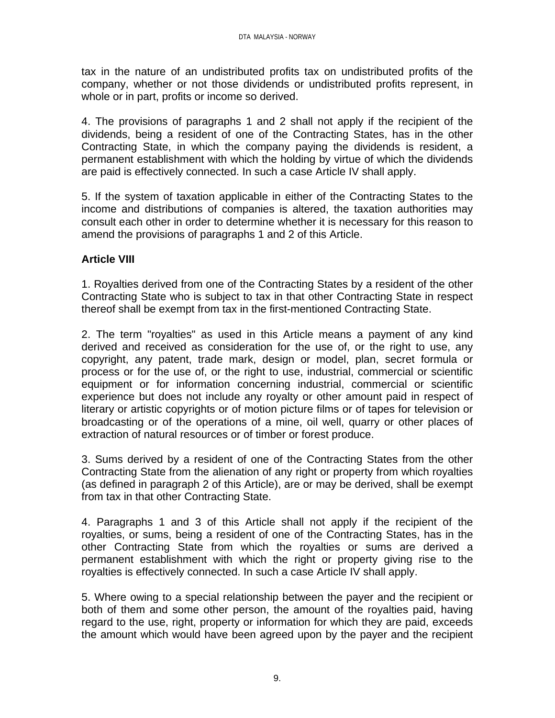tax in the nature of an undistributed profits tax on undistributed profits of the company, whether or not those dividends or undistributed profits represent, in whole or in part, profits or income so derived.

4. The provisions of paragraphs 1 and 2 shall not apply if the recipient of the dividends, being a resident of one of the Contracting States, has in the other Contracting State, in which the company paying the dividends is resident, a permanent establishment with which the holding by virtue of which the dividends are paid is effectively connected. In such a case Article IV shall apply.

5. If the system of taxation applicable in either of the Contracting States to the income and distributions of companies is altered, the taxation authorities may consult each other in order to determine whether it is necessary for this reason to amend the provisions of paragraphs 1 and 2 of this Article.

### **Article VIII**

1. Royalties derived from one of the Contracting States by a resident of the other Contracting State who is subject to tax in that other Contracting State in respect thereof shall be exempt from tax in the first-mentioned Contracting State.

2. The term "royalties" as used in this Article means a payment of any kind derived and received as consideration for the use of, or the right to use, any copyright, any patent, trade mark, design or model, plan, secret formula or process or for the use of, or the right to use, industrial, commercial or scientific equipment or for information concerning industrial, commercial or scientific experience but does not include any royalty or other amount paid in respect of literary or artistic copyrights or of motion picture films or of tapes for television or broadcasting or of the operations of a mine, oil well, quarry or other places of extraction of natural resources or of timber or forest produce.

3. Sums derived by a resident of one of the Contracting States from the other Contracting State from the alienation of any right or property from which royalties (as defined in paragraph 2 of this Article), are or may be derived, shall be exempt from tax in that other Contracting State.

4. Paragraphs 1 and 3 of this Article shall not apply if the recipient of the royalties, or sums, being a resident of one of the Contracting States, has in the other Contracting State from which the royalties or sums are derived a permanent establishment with which the right or property giving rise to the royalties is effectively connected. In such a case Article IV shall apply.

5. Where owing to a special relationship between the payer and the recipient or both of them and some other person, the amount of the royalties paid, having regard to the use, right, property or information for which they are paid, exceeds the amount which would have been agreed upon by the payer and the recipient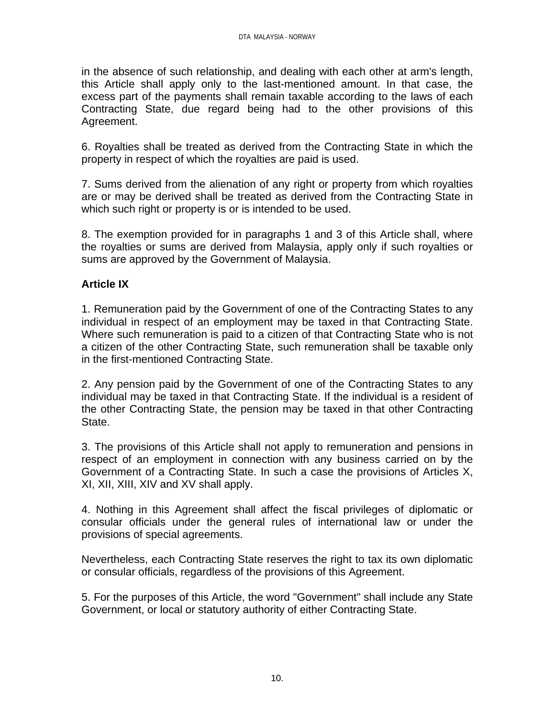in the absence of such relationship, and dealing with each other at arm's length, this Article shall apply only to the last-mentioned amount. In that case, the excess part of the payments shall remain taxable according to the laws of each Contracting State, due regard being had to the other provisions of this Agreement.

6. Royalties shall be treated as derived from the Contracting State in which the property in respect of which the royalties are paid is used.

7. Sums derived from the alienation of any right or property from which royalties are or may be derived shall be treated as derived from the Contracting State in which such right or property is or is intended to be used.

8. The exemption provided for in paragraphs 1 and 3 of this Article shall, where the royalties or sums are derived from Malaysia, apply only if such royalties or sums are approved by the Government of Malaysia.

## **Article IX**

1. Remuneration paid by the Government of one of the Contracting States to any individual in respect of an employment may be taxed in that Contracting State. Where such remuneration is paid to a citizen of that Contracting State who is not a citizen of the other Contracting State, such remuneration shall be taxable only in the first-mentioned Contracting State.

2. Any pension paid by the Government of one of the Contracting States to any individual may be taxed in that Contracting State. If the individual is a resident of the other Contracting State, the pension may be taxed in that other Contracting State.

3. The provisions of this Article shall not apply to remuneration and pensions in respect of an employment in connection with any business carried on by the Government of a Contracting State. In such a case the provisions of Articles X, XI, XII, XIII, XIV and XV shall apply.

4. Nothing in this Agreement shall affect the fiscal privileges of diplomatic or consular officials under the general rules of international law or under the provisions of special agreements.

Nevertheless, each Contracting State reserves the right to tax its own diplomatic or consular officials, regardless of the provisions of this Agreement.

5. For the purposes of this Article, the word "Government" shall include any State Government, or local or statutory authority of either Contracting State.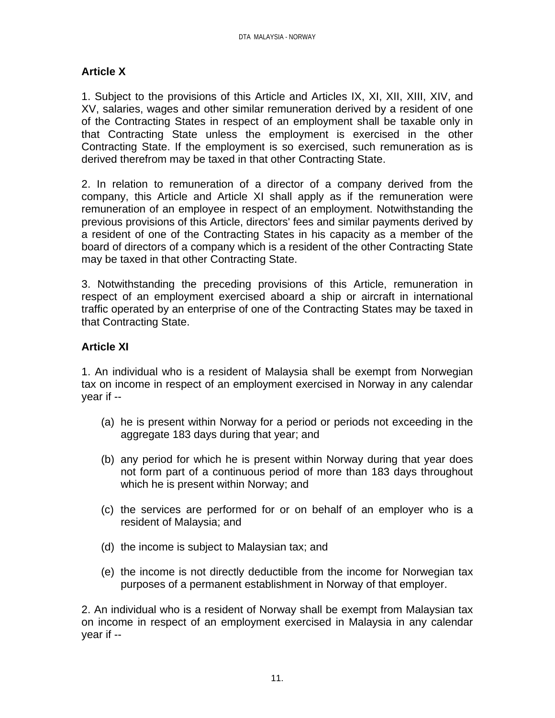### **Article X**

1. Subject to the provisions of this Article and Articles IX, XI, XII, XIII, XIV, and XV, salaries, wages and other similar remuneration derived by a resident of one of the Contracting States in respect of an employment shall be taxable only in that Contracting State unless the employment is exercised in the other Contracting State. If the employment is so exercised, such remuneration as is derived therefrom may be taxed in that other Contracting State.

2. In relation to remuneration of a director of a company derived from the company, this Article and Article XI shall apply as if the remuneration were remuneration of an employee in respect of an employment. Notwithstanding the previous provisions of this Article, directors' fees and similar payments derived by a resident of one of the Contracting States in his capacity as a member of the board of directors of a company which is a resident of the other Contracting State may be taxed in that other Contracting State.

3. Notwithstanding the preceding provisions of this Article, remuneration in respect of an employment exercised aboard a ship or aircraft in international traffic operated by an enterprise of one of the Contracting States may be taxed in that Contracting State.

## **Article XI**

1. An individual who is a resident of Malaysia shall be exempt from Norwegian tax on income in respect of an employment exercised in Norway in any calendar year if --

- (a) he is present within Norway for a period or periods not exceeding in the aggregate 183 days during that year; and
- (b) any period for which he is present within Norway during that year does not form part of a continuous period of more than 183 days throughout which he is present within Norway; and
- (c) the services are performed for or on behalf of an employer who is a resident of Malaysia; and
- (d) the income is subject to Malaysian tax; and
- (e) the income is not directly deductible from the income for Norwegian tax purposes of a permanent establishment in Norway of that employer.

2. An individual who is a resident of Norway shall be exempt from Malaysian tax on income in respect of an employment exercised in Malaysia in any calendar year if --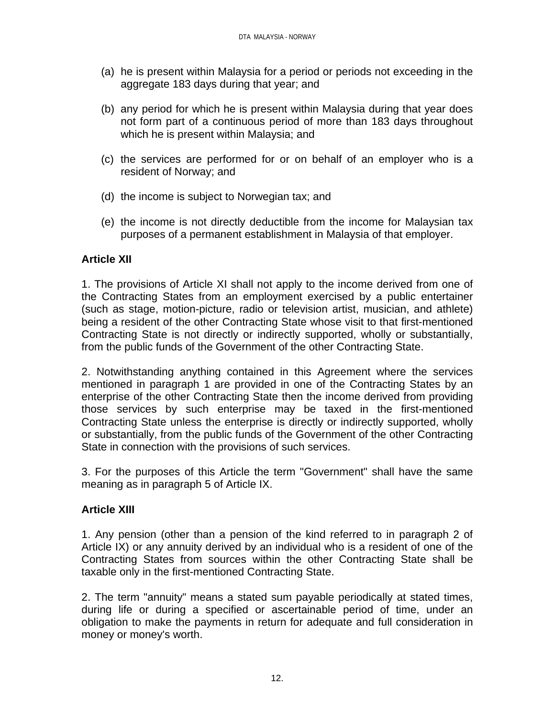- (a) he is present within Malaysia for a period or periods not exceeding in the aggregate 183 days during that year; and
- (b) any period for which he is present within Malaysia during that year does not form part of a continuous period of more than 183 days throughout which he is present within Malaysia; and
- (c) the services are performed for or on behalf of an employer who is a resident of Norway; and
- (d) the income is subject to Norwegian tax; and
- (e) the income is not directly deductible from the income for Malaysian tax purposes of a permanent establishment in Malaysia of that employer.

### **Article XII**

1. The provisions of Article XI shall not apply to the income derived from one of the Contracting States from an employment exercised by a public entertainer (such as stage, motion-picture, radio or television artist, musician, and athlete) being a resident of the other Contracting State whose visit to that first-mentioned Contracting State is not directly or indirectly supported, wholly or substantially, from the public funds of the Government of the other Contracting State.

2. Notwithstanding anything contained in this Agreement where the services mentioned in paragraph 1 are provided in one of the Contracting States by an enterprise of the other Contracting State then the income derived from providing those services by such enterprise may be taxed in the first-mentioned Contracting State unless the enterprise is directly or indirectly supported, wholly or substantially, from the public funds of the Government of the other Contracting State in connection with the provisions of such services.

3. For the purposes of this Article the term "Government" shall have the same meaning as in paragraph 5 of Article IX.

#### **Article XIII**

1. Any pension (other than a pension of the kind referred to in paragraph 2 of Article IX) or any annuity derived by an individual who is a resident of one of the Contracting States from sources within the other Contracting State shall be taxable only in the first-mentioned Contracting State.

2. The term "annuity" means a stated sum payable periodically at stated times, during life or during a specified or ascertainable period of time, under an obligation to make the payments in return for adequate and full consideration in money or money's worth.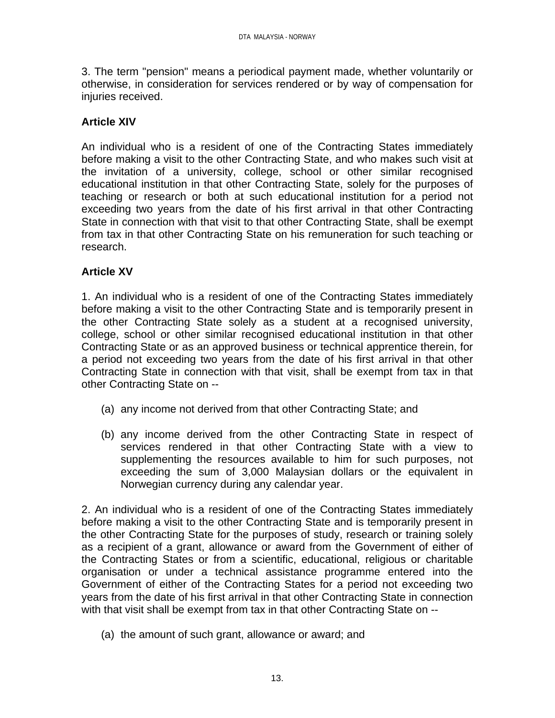3. The term "pension" means a periodical payment made, whether voluntarily or otherwise, in consideration for services rendered or by way of compensation for injuries received.

### **Article XIV**

An individual who is a resident of one of the Contracting States immediately before making a visit to the other Contracting State, and who makes such visit at the invitation of a university, college, school or other similar recognised educational institution in that other Contracting State, solely for the purposes of teaching or research or both at such educational institution for a period not exceeding two years from the date of his first arrival in that other Contracting State in connection with that visit to that other Contracting State, shall be exempt from tax in that other Contracting State on his remuneration for such teaching or research.

### **Article XV**

1. An individual who is a resident of one of the Contracting States immediately before making a visit to the other Contracting State and is temporarily present in the other Contracting State solely as a student at a recognised university, college, school or other similar recognised educational institution in that other Contracting State or as an approved business or technical apprentice therein, for a period not exceeding two years from the date of his first arrival in that other Contracting State in connection with that visit, shall be exempt from tax in that other Contracting State on --

- (a) any income not derived from that other Contracting State; and
- (b) any income derived from the other Contracting State in respect of services rendered in that other Contracting State with a view to supplementing the resources available to him for such purposes, not exceeding the sum of 3,000 Malaysian dollars or the equivalent in Norwegian currency during any calendar year.

2. An individual who is a resident of one of the Contracting States immediately before making a visit to the other Contracting State and is temporarily present in the other Contracting State for the purposes of study, research or training solely as a recipient of a grant, allowance or award from the Government of either of the Contracting States or from a scientific, educational, religious or charitable organisation or under a technical assistance programme entered into the Government of either of the Contracting States for a period not exceeding two years from the date of his first arrival in that other Contracting State in connection with that visit shall be exempt from tax in that other Contracting State on --

(a) the amount of such grant, allowance or award; and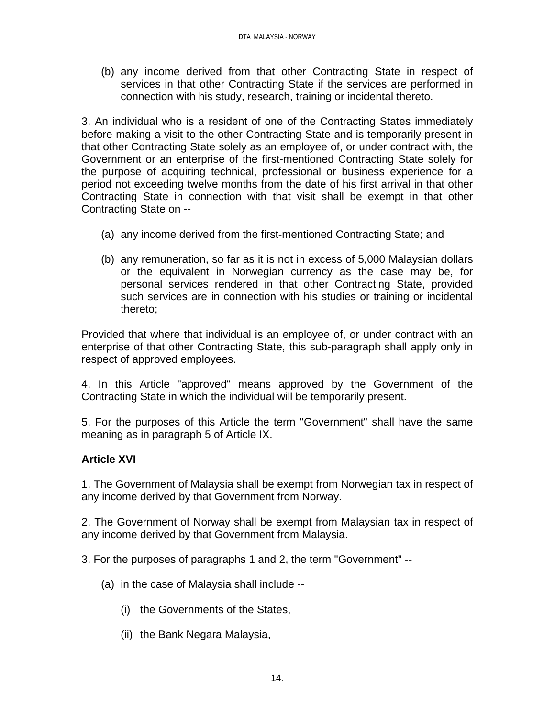(b) any income derived from that other Contracting State in respect of services in that other Contracting State if the services are performed in connection with his study, research, training or incidental thereto.

3. An individual who is a resident of one of the Contracting States immediately before making a visit to the other Contracting State and is temporarily present in that other Contracting State solely as an employee of, or under contract with, the Government or an enterprise of the first-mentioned Contracting State solely for the purpose of acquiring technical, professional or business experience for a period not exceeding twelve months from the date of his first arrival in that other Contracting State in connection with that visit shall be exempt in that other Contracting State on --

- (a) any income derived from the first-mentioned Contracting State; and
- (b) any remuneration, so far as it is not in excess of 5,000 Malaysian dollars or the equivalent in Norwegian currency as the case may be, for personal services rendered in that other Contracting State, provided such services are in connection with his studies or training or incidental thereto;

Provided that where that individual is an employee of, or under contract with an enterprise of that other Contracting State, this sub-paragraph shall apply only in respect of approved employees.

4. In this Article "approved" means approved by the Government of the Contracting State in which the individual will be temporarily present.

5. For the purposes of this Article the term "Government" shall have the same meaning as in paragraph 5 of Article IX.

## **Article XVI**

1. The Government of Malaysia shall be exempt from Norwegian tax in respect of any income derived by that Government from Norway.

2. The Government of Norway shall be exempt from Malaysian tax in respect of any income derived by that Government from Malaysia.

3. For the purposes of paragraphs 1 and 2, the term "Government" --

- (a) in the case of Malaysia shall include --
	- (i) the Governments of the States,
	- (ii) the Bank Negara Malaysia,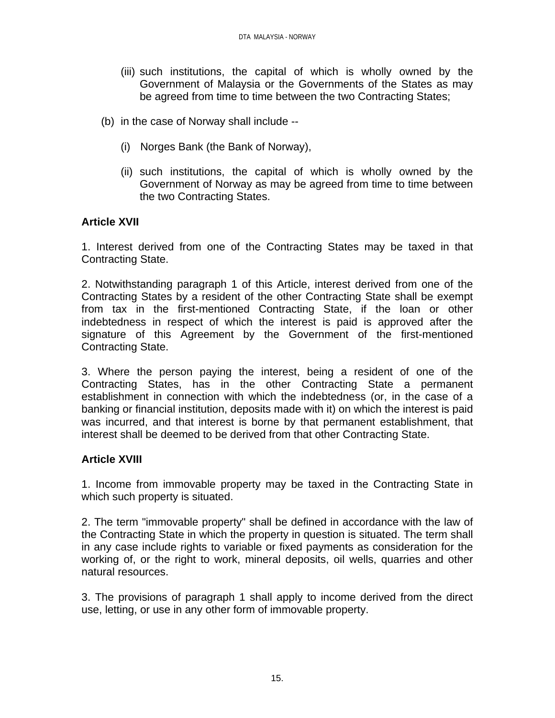- (iii) such institutions, the capital of which is wholly owned by the Government of Malaysia or the Governments of the States as may be agreed from time to time between the two Contracting States;
- (b) in the case of Norway shall include --
	- (i) Norges Bank (the Bank of Norway),
	- (ii) such institutions, the capital of which is wholly owned by the Government of Norway as may be agreed from time to time between the two Contracting States.

### **Article XVII**

1. Interest derived from one of the Contracting States may be taxed in that Contracting State.

2. Notwithstanding paragraph 1 of this Article, interest derived from one of the Contracting States by a resident of the other Contracting State shall be exempt from tax in the first-mentioned Contracting State, if the loan or other indebtedness in respect of which the interest is paid is approved after the signature of this Agreement by the Government of the first-mentioned Contracting State.

3. Where the person paying the interest, being a resident of one of the Contracting States, has in the other Contracting State a permanent establishment in connection with which the indebtedness (or, in the case of a banking or financial institution, deposits made with it) on which the interest is paid was incurred, and that interest is borne by that permanent establishment, that interest shall be deemed to be derived from that other Contracting State.

#### **Article XVIII**

1. Income from immovable property may be taxed in the Contracting State in which such property is situated.

2. The term "immovable property" shall be defined in accordance with the law of the Contracting State in which the property in question is situated. The term shall in any case include rights to variable or fixed payments as consideration for the working of, or the right to work, mineral deposits, oil wells, quarries and other natural resources.

3. The provisions of paragraph 1 shall apply to income derived from the direct use, letting, or use in any other form of immovable property.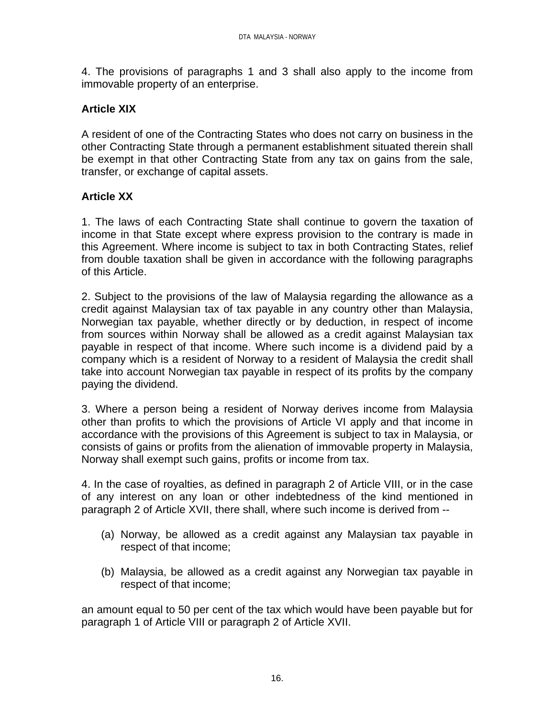4. The provisions of paragraphs 1 and 3 shall also apply to the income from immovable property of an enterprise.

### **Article XIX**

A resident of one of the Contracting States who does not carry on business in the other Contracting State through a permanent establishment situated therein shall be exempt in that other Contracting State from any tax on gains from the sale, transfer, or exchange of capital assets.

### **Article XX**

1. The laws of each Contracting State shall continue to govern the taxation of income in that State except where express provision to the contrary is made in this Agreement. Where income is subject to tax in both Contracting States, relief from double taxation shall be given in accordance with the following paragraphs of this Article.

2. Subject to the provisions of the law of Malaysia regarding the allowance as a credit against Malaysian tax of tax payable in any country other than Malaysia, Norwegian tax payable, whether directly or by deduction, in respect of income from sources within Norway shall be allowed as a credit against Malaysian tax payable in respect of that income. Where such income is a dividend paid by a company which is a resident of Norway to a resident of Malaysia the credit shall take into account Norwegian tax payable in respect of its profits by the company paying the dividend.

3. Where a person being a resident of Norway derives income from Malaysia other than profits to which the provisions of Article VI apply and that income in accordance with the provisions of this Agreement is subject to tax in Malaysia, or consists of gains or profits from the alienation of immovable property in Malaysia, Norway shall exempt such gains, profits or income from tax.

4. In the case of royalties, as defined in paragraph 2 of Article VIII, or in the case of any interest on any loan or other indebtedness of the kind mentioned in paragraph 2 of Article XVII, there shall, where such income is derived from --

- (a) Norway, be allowed as a credit against any Malaysian tax payable in respect of that income;
- (b) Malaysia, be allowed as a credit against any Norwegian tax payable in respect of that income;

an amount equal to 50 per cent of the tax which would have been payable but for paragraph 1 of Article VIII or paragraph 2 of Article XVII.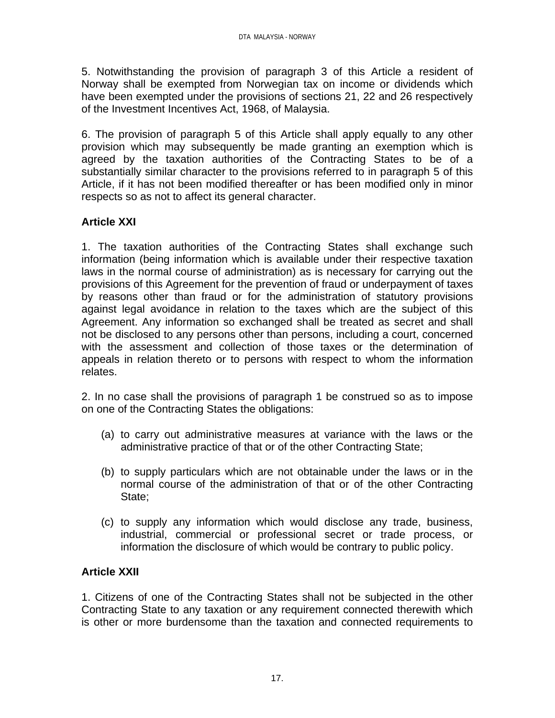5. Notwithstanding the provision of paragraph 3 of this Article a resident of Norway shall be exempted from Norwegian tax on income or dividends which have been exempted under the provisions of sections 21, 22 and 26 respectively of the Investment Incentives Act, 1968, of Malaysia.

6. The provision of paragraph 5 of this Article shall apply equally to any other provision which may subsequently be made granting an exemption which is agreed by the taxation authorities of the Contracting States to be of a substantially similar character to the provisions referred to in paragraph 5 of this Article, if it has not been modified thereafter or has been modified only in minor respects so as not to affect its general character.

## **Article XXI**

1. The taxation authorities of the Contracting States shall exchange such information (being information which is available under their respective taxation laws in the normal course of administration) as is necessary for carrying out the provisions of this Agreement for the prevention of fraud or underpayment of taxes by reasons other than fraud or for the administration of statutory provisions against legal avoidance in relation to the taxes which are the subject of this Agreement. Any information so exchanged shall be treated as secret and shall not be disclosed to any persons other than persons, including a court, concerned with the assessment and collection of those taxes or the determination of appeals in relation thereto or to persons with respect to whom the information relates.

2. In no case shall the provisions of paragraph 1 be construed so as to impose on one of the Contracting States the obligations:

- (a) to carry out administrative measures at variance with the laws or the administrative practice of that or of the other Contracting State;
- (b) to supply particulars which are not obtainable under the laws or in the normal course of the administration of that or of the other Contracting State;
- (c) to supply any information which would disclose any trade, business, industrial, commercial or professional secret or trade process, or information the disclosure of which would be contrary to public policy.

## **Article XXII**

1. Citizens of one of the Contracting States shall not be subjected in the other Contracting State to any taxation or any requirement connected therewith which is other or more burdensome than the taxation and connected requirements to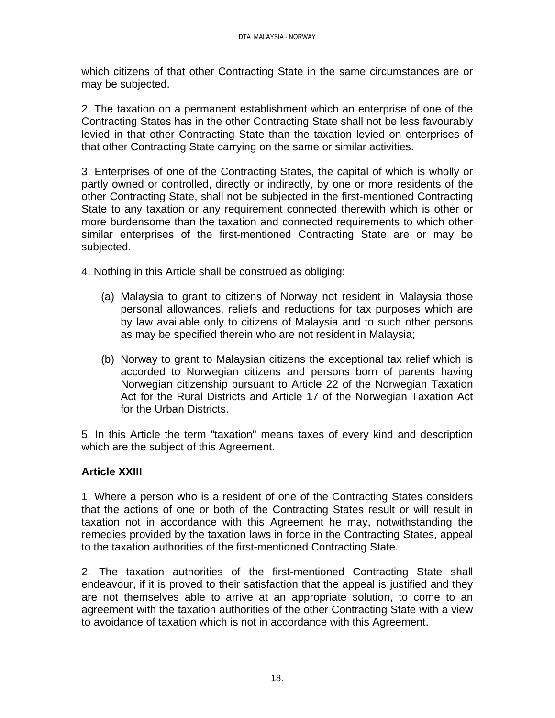which citizens of that other Contracting State in the same circumstances are or may be subjected.

2. The taxation on a permanent establishment which an enterprise of one of the Contracting States has in the other Contracting State shall not be less favourably levied in that other Contracting State than the taxation levied on enterprises of that other Contracting State carrying on the same or similar activities.

3. Enterprises of one of the Contracting States, the capital of which is wholly or partly owned or controlled, directly or indirectly, by one or more residents of the other Contracting State, shall not be subjected in the first-mentioned Contracting State to any taxation or any requirement connected therewith which is other or more burdensome than the taxation and connected requirements to which other similar enterprises of the first-mentioned Contracting State are or may be subjected.

4. Nothing in this Article shall be construed as obliging:

- (a) Malaysia to grant to citizens of Norway not resident in Malaysia those personal allowances, reliefs and reductions for tax purposes which are by law available only to citizens of Malaysia and to such other persons as may be specified therein who are not resident in Malaysia;
- (b) Norway to grant to Malaysian citizens the exceptional tax relief which is accorded to Norwegian citizens and persons born of parents having Norwegian citizenship pursuant to Article 22 of the Norwegian Taxation Act for the Rural Districts and Article 17 of the Norwegian Taxation Act for the Urban Districts.

5. In this Article the term "taxation" means taxes of every kind and description which are the subject of this Agreement.

## **Article XXIII**

1. Where a person who is a resident of one of the Contracting States considers that the actions of one or both of the Contracting States result or will result in taxation not in accordance with this Agreement he may, notwithstanding the remedies provided by the taxation laws in force in the Contracting States, appeal to the taxation authorities of the first-mentioned Contracting State.

2. The taxation authorities of the first-mentioned Contracting State shall endeavour, if it is proved to their satisfaction that the appeal is justified and they are not themselves able to arrive at an appropriate solution, to come to an agreement with the taxation authorities of the other Contracting State with a view to avoidance of taxation which is not in accordance with this Agreement.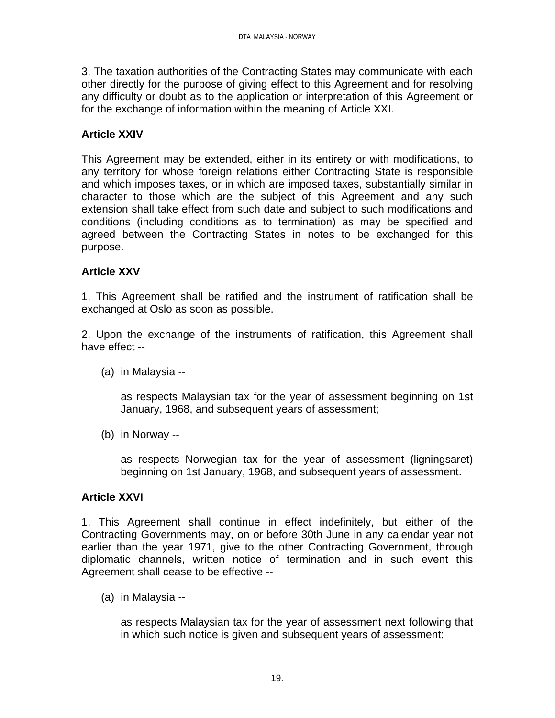3. The taxation authorities of the Contracting States may communicate with each other directly for the purpose of giving effect to this Agreement and for resolving any difficulty or doubt as to the application or interpretation of this Agreement or for the exchange of information within the meaning of Article XXI.

### **Article XXIV**

This Agreement may be extended, either in its entirety or with modifications, to any territory for whose foreign relations either Contracting State is responsible and which imposes taxes, or in which are imposed taxes, substantially similar in character to those which are the subject of this Agreement and any such extension shall take effect from such date and subject to such modifications and conditions (including conditions as to termination) as may be specified and agreed between the Contracting States in notes to be exchanged for this purpose.

#### **Article XXV**

1. This Agreement shall be ratified and the instrument of ratification shall be exchanged at Oslo as soon as possible.

2. Upon the exchange of the instruments of ratification, this Agreement shall have effect --

(a) in Malaysia --

as respects Malaysian tax for the year of assessment beginning on 1st January, 1968, and subsequent years of assessment;

(b) in Norway --

as respects Norwegian tax for the year of assessment (ligningsaret) beginning on 1st January, 1968, and subsequent years of assessment.

#### **Article XXVI**

1. This Agreement shall continue in effect indefinitely, but either of the Contracting Governments may, on or before 30th June in any calendar year not earlier than the year 1971, give to the other Contracting Government, through diplomatic channels, written notice of termination and in such event this Agreement shall cease to be effective --

(a) in Malaysia --

as respects Malaysian tax for the year of assessment next following that in which such notice is given and subsequent years of assessment;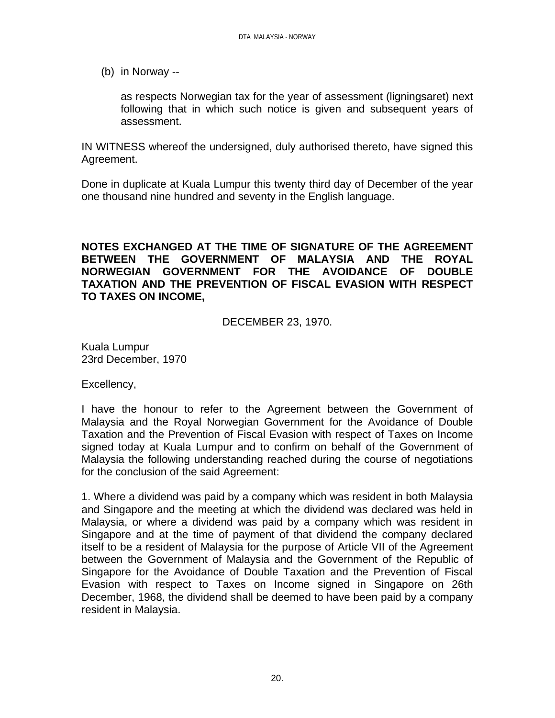(b) in Norway --

as respects Norwegian tax for the year of assessment (ligningsaret) next following that in which such notice is given and subsequent years of assessment.

IN WITNESS whereof the undersigned, duly authorised thereto, have signed this Agreement.

Done in duplicate at Kuala Lumpur this twenty third day of December of the year one thousand nine hundred and seventy in the English language.

#### **NOTES EXCHANGED AT THE TIME OF SIGNATURE OF THE AGREEMENT BETWEEN THE GOVERNMENT OF MALAYSIA AND THE ROYAL NORWEGIAN GOVERNMENT FOR THE AVOIDANCE OF DOUBLE TAXATION AND THE PREVENTION OF FISCAL EVASION WITH RESPECT TO TAXES ON INCOME,**

DECEMBER 23, 1970.

Kuala Lumpur 23rd December, 1970

Excellency,

I have the honour to refer to the Agreement between the Government of Malaysia and the Royal Norwegian Government for the Avoidance of Double Taxation and the Prevention of Fiscal Evasion with respect of Taxes on Income signed today at Kuala Lumpur and to confirm on behalf of the Government of Malaysia the following understanding reached during the course of negotiations for the conclusion of the said Agreement:

1. Where a dividend was paid by a company which was resident in both Malaysia and Singapore and the meeting at which the dividend was declared was held in Malaysia, or where a dividend was paid by a company which was resident in Singapore and at the time of payment of that dividend the company declared itself to be a resident of Malaysia for the purpose of Article VII of the Agreement between the Government of Malaysia and the Government of the Republic of Singapore for the Avoidance of Double Taxation and the Prevention of Fiscal Evasion with respect to Taxes on Income signed in Singapore on 26th December, 1968, the dividend shall be deemed to have been paid by a company resident in Malaysia.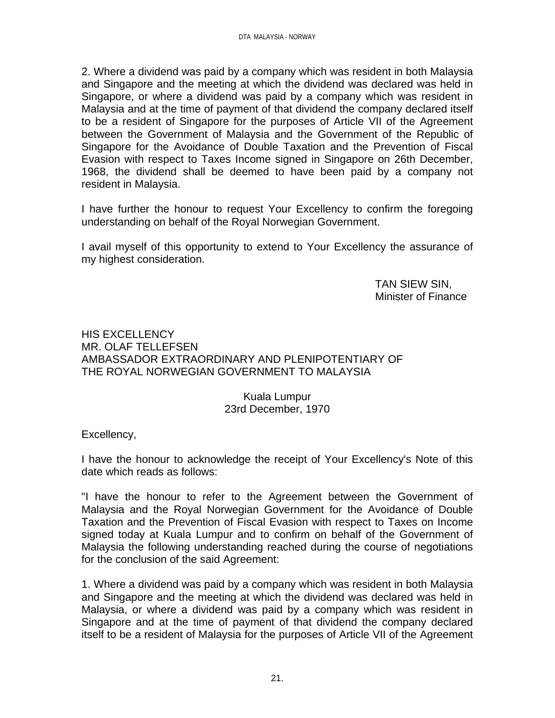2. Where a dividend was paid by a company which was resident in both Malaysia and Singapore and the meeting at which the dividend was declared was held in Singapore, or where a dividend was paid by a company which was resident in Malaysia and at the time of payment of that dividend the company declared itself to be a resident of Singapore for the purposes of Article VII of the Agreement between the Government of Malaysia and the Government of the Republic of Singapore for the Avoidance of Double Taxation and the Prevention of Fiscal Evasion with respect to Taxes Income signed in Singapore on 26th December, 1968, the dividend shall be deemed to have been paid by a company not resident in Malaysia.

I have further the honour to request Your Excellency to confirm the foregoing understanding on behalf of the Royal Norwegian Government.

I avail myself of this opportunity to extend to Your Excellency the assurance of my highest consideration.

> TAN SIEW SIN, Minister of Finance

HIS EXCELLENCY MR. OLAF TELLEFSEN AMBASSADOR EXTRAORDINARY AND PLENIPOTENTIARY OF THE ROYAL NORWEGIAN GOVERNMENT TO MALAYSIA

> Kuala Lumpur 23rd December, 1970

Excellency,

I have the honour to acknowledge the receipt of Your Excellency's Note of this date which reads as follows:

"I have the honour to refer to the Agreement between the Government of Malaysia and the Royal Norwegian Government for the Avoidance of Double Taxation and the Prevention of Fiscal Evasion with respect to Taxes on Income signed today at Kuala Lumpur and to confirm on behalf of the Government of Malaysia the following understanding reached during the course of negotiations for the conclusion of the said Agreement:

1. Where a dividend was paid by a company which was resident in both Malaysia and Singapore and the meeting at which the dividend was declared was held in Malaysia, or where a dividend was paid by a company which was resident in Singapore and at the time of payment of that dividend the company declared itself to be a resident of Malaysia for the purposes of Article VII of the Agreement